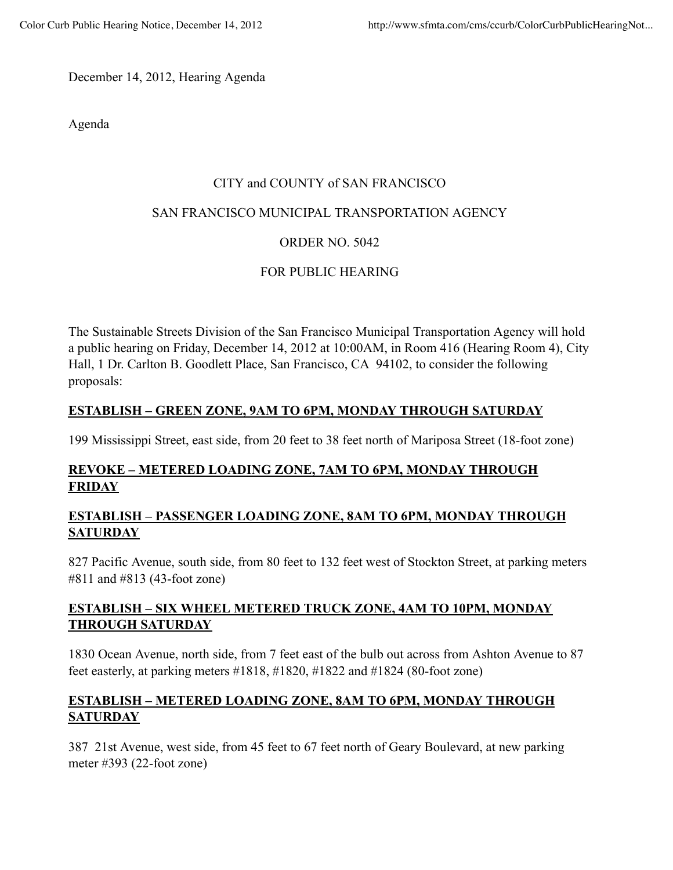December 14, 2012, Hearing Agenda

Agenda

#### CITY and COUNTY of SAN FRANCISCO

#### SAN FRANCISCO MUNICIPAL TRANSPORTATION AGENCY

## ORDER NO. 5042

## FOR PUBLIC HEARING

The Sustainable Streets Division of the San Francisco Municipal Transportation Agency will hold a public hearing on Friday, December 14, 2012 at 10:00AM, in Room 416 (Hearing Room 4), City Hall, 1 Dr. Carlton B. Goodlett Place, San Francisco, CA 94102, to consider the following proposals:

# **ESTABLISH – GREEN ZONE, 9AM TO 6PM, MONDAY THROUGH SATURDAY**

199 Mississippi Street, east side, from 20 feet to 38 feet north of Mariposa Street (18-foot zone)

# **REVOKE – METERED LOADING ZONE, 7AM TO 6PM, MONDAY THROUGH FRIDAY**

### **ESTABLISH – PASSENGER LOADING ZONE, 8AM TO 6PM, MONDAY THROUGH SATURDAY**

827 Pacific Avenue, south side, from 80 feet to 132 feet west of Stockton Street, at parking meters #811 and #813 (43-foot zone)

## **ESTABLISH – SIX WHEEL METERED TRUCK ZONE, 4AM TO 10PM, MONDAY THROUGH SATURDAY**

1830 Ocean Avenue, north side, from 7 feet east of the bulb out across from Ashton Avenue to 87 feet easterly, at parking meters #1818, #1820, #1822 and #1824 (80-foot zone)

## **ESTABLISH – METERED LOADING ZONE, 8AM TO 6PM, MONDAY THROUGH SATURDAY**

387 21st Avenue, west side, from 45 feet to 67 feet north of Geary Boulevard, at new parking meter #393 (22-foot zone)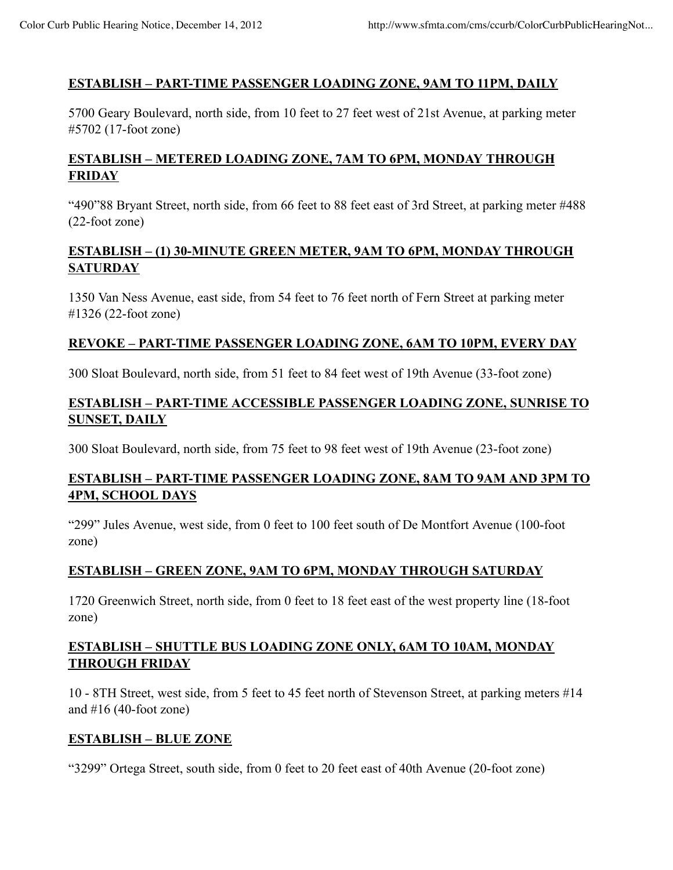### **ESTABLISH – PART-TIME PASSENGER LOADING ZONE, 9AM TO 11PM, DAILY**

5700 Geary Boulevard, north side, from 10 feet to 27 feet west of 21st Avenue, at parking meter #5702 (17-foot zone)

# **ESTABLISH – METERED LOADING ZONE, 7AM TO 6PM, MONDAY THROUGH FRIDAY**

"490"88 Bryant Street, north side, from 66 feet to 88 feet east of 3rd Street, at parking meter #488 (22-foot zone)

#### **ESTABLISH – (1) 30-MINUTE GREEN METER, 9AM TO 6PM, MONDAY THROUGH SATURDAY**

1350 Van Ness Avenue, east side, from 54 feet to 76 feet north of Fern Street at parking meter #1326 (22-foot zone)

#### **REVOKE – PART-TIME PASSENGER LOADING ZONE, 6AM TO 10PM, EVERY DAY**

300 Sloat Boulevard, north side, from 51 feet to 84 feet west of 19th Avenue (33-foot zone)

### **ESTABLISH – PART-TIME ACCESSIBLE PASSENGER LOADING ZONE, SUNRISE TO SUNSET, DAILY**

300 Sloat Boulevard, north side, from 75 feet to 98 feet west of 19th Avenue (23-foot zone)

### **ESTABLISH – PART-TIME PASSENGER LOADING ZONE, 8AM TO 9AM AND 3PM TO 4PM, SCHOOL DAYS**

"299" Jules Avenue, west side, from 0 feet to 100 feet south of De Montfort Avenue (100-foot zone)

## **ESTABLISH – GREEN ZONE, 9AM TO 6PM, MONDAY THROUGH SATURDAY**

1720 Greenwich Street, north side, from 0 feet to 18 feet east of the west property line (18-foot zone)

### **ESTABLISH – SHUTTLE BUS LOADING ZONE ONLY, 6AM TO 10AM, MONDAY THROUGH FRIDAY**

10 - 8TH Street, west side, from 5 feet to 45 feet north of Stevenson Street, at parking meters #14 and  $#16$  (40-foot zone)

#### **ESTABLISH – BLUE ZONE**

"3299" Ortega Street, south side, from 0 feet to 20 feet east of 40th Avenue (20-foot zone)